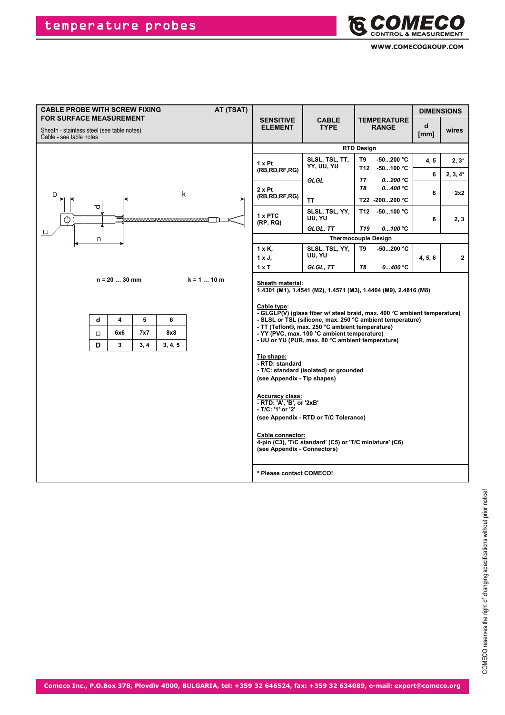

| <b>CABLE PROBE WITH SCREW FIXING</b>                                         |                  |                                                      |                  |                     | AT (TSAT)     | <b>DIMENSIONS</b>                                                                                                                                                                                                              |                                                                                                                                                                                                                                                                                                                                                                                                                                                                                                              |                                    |                |                     |              |  |
|------------------------------------------------------------------------------|------------------|------------------------------------------------------|------------------|---------------------|---------------|--------------------------------------------------------------------------------------------------------------------------------------------------------------------------------------------------------------------------------|--------------------------------------------------------------------------------------------------------------------------------------------------------------------------------------------------------------------------------------------------------------------------------------------------------------------------------------------------------------------------------------------------------------------------------------------------------------------------------------------------------------|------------------------------------|----------------|---------------------|--------------|--|
| <b>FOR SURFACE MEASUREMENT</b><br>Sheath - stainless steel (see table notes) |                  |                                                      |                  |                     |               | <b>SENSITIVE</b><br><b>ELEMENT</b>                                                                                                                                                                                             | <b>CABLE</b><br><b>TYPE</b>                                                                                                                                                                                                                                                                                                                                                                                                                                                                                  | <b>TEMPERATURE</b><br><b>RANGE</b> |                | $\mathbf d$<br>[mm] | wires        |  |
| Cable - see table notes                                                      |                  |                                                      |                  |                     |               | <b>RTD Design</b>                                                                                                                                                                                                              |                                                                                                                                                                                                                                                                                                                                                                                                                                                                                                              |                                    |                |                     |              |  |
|                                                                              |                  |                                                      |                  |                     |               |                                                                                                                                                                                                                                | SLSL, TSL, TT,                                                                                                                                                                                                                                                                                                                                                                                                                                                                                               | T9                                 | $-50200 °C$    |                     |              |  |
|                                                                              |                  |                                                      |                  |                     |               | $1 \times$ Pt<br>(RB, RD, RF, RG)                                                                                                                                                                                              | YY, UU, YU                                                                                                                                                                                                                                                                                                                                                                                                                                                                                                   |                                    | T12 -50100 °C  | 4, 5                | $2, 3^*$     |  |
|                                                                              |                  |                                                      |                  |                     |               |                                                                                                                                                                                                                                | <b>GLGL</b>                                                                                                                                                                                                                                                                                                                                                                                                                                                                                                  | <b>T7</b>                          | 0200 °C        | 6                   | $2, 3, 4*$   |  |
|                                                                              |                  |                                                      |                  |                     | k             | $2 \times$ Pt                                                                                                                                                                                                                  |                                                                                                                                                                                                                                                                                                                                                                                                                                                                                                              | T8                                 | 0400 °C        | 6                   | 2x2          |  |
| D                                                                            |                  |                                                      |                  |                     |               | (RB, RD, RF, RG)                                                                                                                                                                                                               | <b>TT</b>                                                                                                                                                                                                                                                                                                                                                                                                                                                                                                    |                                    | T22 -200200 °C |                     |              |  |
|                                                                              | ರ                |                                                      |                  |                     |               | 1 x PTC<br>(RP, RQ)                                                                                                                                                                                                            | SLSL, TSL, YY,<br>UU, YU                                                                                                                                                                                                                                                                                                                                                                                                                                                                                     | T12                                | $-50100 °C$    | 6                   | 2, 3         |  |
| $\Box$                                                                       |                  |                                                      |                  |                     |               |                                                                                                                                                                                                                                | GLGL, TT                                                                                                                                                                                                                                                                                                                                                                                                                                                                                                     | T <sub>19</sub>                    | 0100 °C        |                     |              |  |
|                                                                              | n                |                                                      |                  |                     |               | <b>Thermocouple Design</b>                                                                                                                                                                                                     |                                                                                                                                                                                                                                                                                                                                                                                                                                                                                                              |                                    |                |                     |              |  |
|                                                                              |                  |                                                      |                  |                     |               | $1 \times K$ ,<br>1 x J,                                                                                                                                                                                                       | SLSL, TSL, YY,<br>UU, YU                                                                                                                                                                                                                                                                                                                                                                                                                                                                                     | T9                                 | $-50200 °C$    | 4, 5, 6             | $\mathbf{2}$ |  |
|                                                                              |                  |                                                      |                  |                     |               | 1xT                                                                                                                                                                                                                            | GLGL, TT                                                                                                                                                                                                                                                                                                                                                                                                                                                                                                     | Т8                                 | 0400 °C        |                     |              |  |
|                                                                              | d<br>$\Box$<br>D | $n = 2030$ mm<br>$\overline{\mathbf{4}}$<br>6x6<br>3 | 5<br>7x7<br>3, 4 | 6<br>8x8<br>3, 4, 5 | $k = 1  10 m$ | Sheath material:<br>Cable type:<br>Tip shape:<br>- RTD: standard<br>(see Appendix - Tip shapes)<br><b>Accuracy class:</b><br>- RTD: 'A', 'B', or '2xB'<br>- T/C: '1' or '2'<br>Cable connector:<br>(see Appendix - Connectors) | 1.4301 (M1), 1.4541 (M2), 1.4571 (M3), 1.4404 (M9), 2.4816 (M8)<br>- GLGLP(V) (glass fiber w/ steel braid, max. 400 °C ambient temperature)<br>- SLSL or TSL (silicone, max. 250 °C ambient temperature)<br>- TT (Teflon®, max. 250 °C ambient temperature)<br>- YY (PVC, max. 100 °C ambient temperature)<br>- UU or YU (PUR, max. 80 °C ambient temperature)<br>- T/C: standard (isolated) or grounded<br>(see Appendix - RTD or T/C Tolerance)<br>4-pin (C3), 'T/C standard' (C5) or 'T/C miniature' (C6) |                                    |                |                     |              |  |
|                                                                              |                  |                                                      |                  |                     |               | * Please contact COMECO!                                                                                                                                                                                                       |                                                                                                                                                                                                                                                                                                                                                                                                                                                                                                              |                                    |                |                     |              |  |